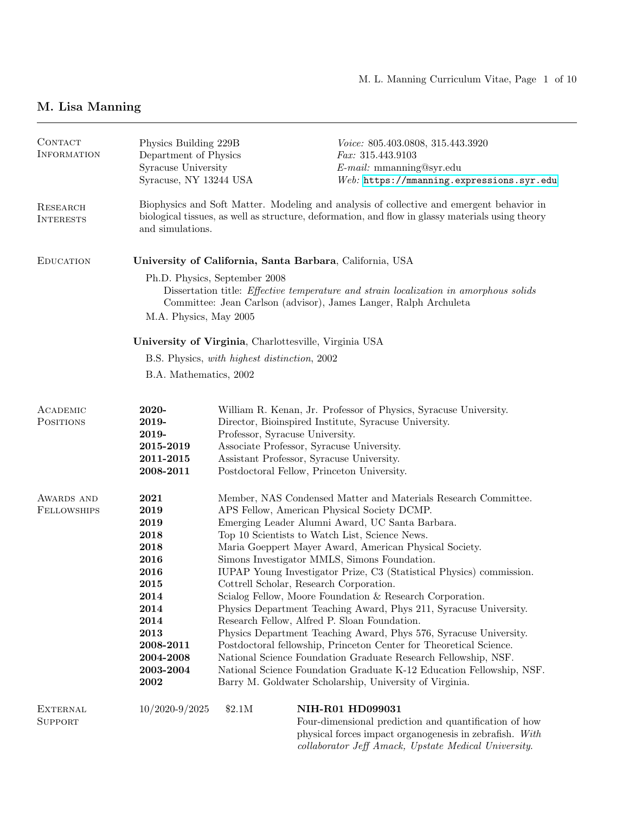# M. Lisa Manning

| CONTACT<br><b>INFORMATION</b>       | Physics Building 229B<br>Department of Physics<br>Syracuse University<br>Syracuse, NY 13244 USA                                                                                                                             |                                                                                                                           | Voice: 805.403.0808, 315.443.3920<br><i>Fax:</i> $315.443.9103$<br>$E$ -mail: mmanning@syr.edu<br>Web: https://mmanning.expressions.syr.edu                                                                                                                                                                                                                                                                                                                                                                                                                                                                                                                                                                                                                                                                                                                                                                                           |  |  |
|-------------------------------------|-----------------------------------------------------------------------------------------------------------------------------------------------------------------------------------------------------------------------------|---------------------------------------------------------------------------------------------------------------------------|---------------------------------------------------------------------------------------------------------------------------------------------------------------------------------------------------------------------------------------------------------------------------------------------------------------------------------------------------------------------------------------------------------------------------------------------------------------------------------------------------------------------------------------------------------------------------------------------------------------------------------------------------------------------------------------------------------------------------------------------------------------------------------------------------------------------------------------------------------------------------------------------------------------------------------------|--|--|
| <b>RESEARCH</b><br><b>INTERESTS</b> | Biophysics and Soft Matter. Modeling and analysis of collective and emergent behavior in<br>biological tissues, as well as structure, deformation, and flow in glassy materials using theory<br>and simulations.            |                                                                                                                           |                                                                                                                                                                                                                                                                                                                                                                                                                                                                                                                                                                                                                                                                                                                                                                                                                                                                                                                                       |  |  |
| <b>EDUCATION</b>                    | University of California, Santa Barbara, California, USA                                                                                                                                                                    |                                                                                                                           |                                                                                                                                                                                                                                                                                                                                                                                                                                                                                                                                                                                                                                                                                                                                                                                                                                                                                                                                       |  |  |
|                                     | Ph.D. Physics, September 2008<br>Dissertation title: <i>Effective temperature and strain localization in amorphous solids</i><br>Committee: Jean Carlson (advisor), James Langer, Ralph Archuleta<br>M.A. Physics, May 2005 |                                                                                                                           |                                                                                                                                                                                                                                                                                                                                                                                                                                                                                                                                                                                                                                                                                                                                                                                                                                                                                                                                       |  |  |
|                                     | University of Virginia, Charlottesville, Virginia USA                                                                                                                                                                       |                                                                                                                           |                                                                                                                                                                                                                                                                                                                                                                                                                                                                                                                                                                                                                                                                                                                                                                                                                                                                                                                                       |  |  |
|                                     | B.S. Physics, with highest distinction, 2002                                                                                                                                                                                |                                                                                                                           |                                                                                                                                                                                                                                                                                                                                                                                                                                                                                                                                                                                                                                                                                                                                                                                                                                                                                                                                       |  |  |
|                                     | B.A. Mathematics, 2002                                                                                                                                                                                                      |                                                                                                                           |                                                                                                                                                                                                                                                                                                                                                                                                                                                                                                                                                                                                                                                                                                                                                                                                                                                                                                                                       |  |  |
| ACADEMIC<br>POSITIONS               | 2020-<br>2019-<br>2019-<br>2015-2019<br>2011-2015<br>2008-2011                                                                                                                                                              | Professor, Syracuse University.<br>Associate Professor, Syracuse University.<br>Assistant Professor, Syracuse University. | William R. Kenan, Jr. Professor of Physics, Syracuse University.<br>Director, Bioinspired Institute, Syracuse University.<br>Postdoctoral Fellow, Princeton University.                                                                                                                                                                                                                                                                                                                                                                                                                                                                                                                                                                                                                                                                                                                                                               |  |  |
| AWARDS AND<br><b>FELLOWSHIPS</b>    | 2021<br>2019<br>2019<br>2018<br>2018<br>2016<br>2016<br>2015<br>2014<br>2014<br>2014<br>2013<br>2008-2011<br>2004-2008<br>2003-2004<br>2002                                                                                 | Cottrell Scholar, Research Corporation.                                                                                   | Member, NAS Condensed Matter and Materials Research Committee.<br>APS Fellow, American Physical Society DCMP.<br>Emerging Leader Alumni Award, UC Santa Barbara.<br>Top 10 Scientists to Watch List, Science News.<br>Maria Goeppert Mayer Award, American Physical Society.<br>Simons Investigator MMLS, Simons Foundation.<br>IUPAP Young Investigator Prize, C3 (Statistical Physics) commission.<br>Scialog Fellow, Moore Foundation & Research Corporation.<br>Physics Department Teaching Award, Phys 211, Syracuse University.<br>Research Fellow, Alfred P. Sloan Foundation.<br>Physics Department Teaching Award, Phys 576, Syracuse University.<br>Postdoctoral fellowship, Princeton Center for Theoretical Science.<br>National Science Foundation Graduate Research Fellowship, NSF.<br>National Science Foundation Graduate K-12 Education Fellowship, NSF.<br>Barry M. Goldwater Scholarship, University of Virginia. |  |  |
| <b>EXTERNAL</b><br><b>SUPPORT</b>   | $10/2020 - 9/2025$                                                                                                                                                                                                          | \$2.1M                                                                                                                    | NIH-R01 HD099031<br>Four-dimensional prediction and quantification of how                                                                                                                                                                                                                                                                                                                                                                                                                                                                                                                                                                                                                                                                                                                                                                                                                                                             |  |  |

 $\,$  physical forces impact organogenesis in zebrafish.  $\, With$ collaborator Jeff Amack, Upstate Medical University.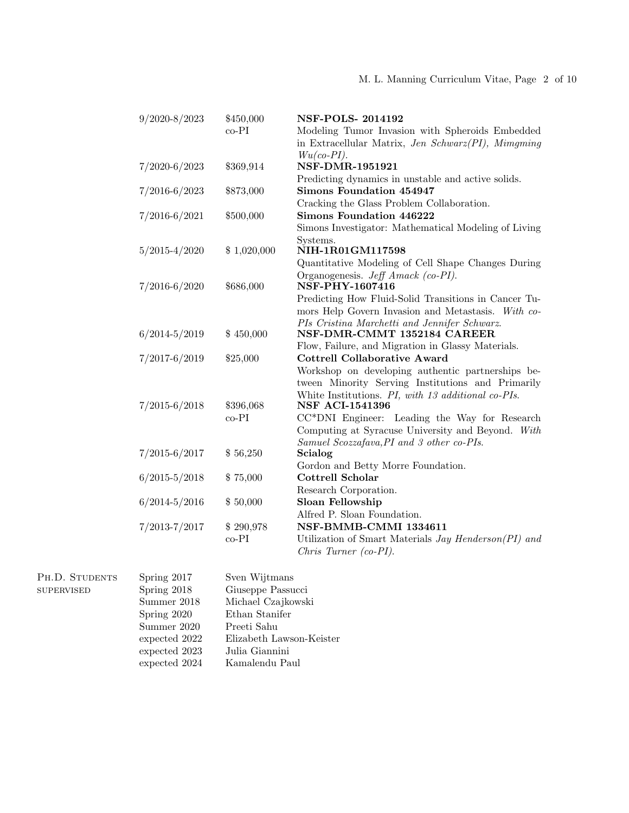#### M. L. Manning Curriculum Vitae, Page 2 of 10

| $9/2020 - 8/2023$ | \$450,000   | <b>NSF-POLS-2014192</b>                              |
|-------------------|-------------|------------------------------------------------------|
|                   | $co-PI$     | Modeling Tumor Invasion with Spheroids Embedded      |
|                   |             | in Extracellular Matrix, Jen Schwarz(PI), Mimgming   |
|                   |             | $Wu(co-PI).$                                         |
| $7/2020 - 6/2023$ | \$369,914   | <b>NSF-DMR-1951921</b>                               |
|                   |             | Predicting dynamics in unstable and active solids.   |
| $7/2016 - 6/2023$ | \$873,000   | Simons Foundation 454947                             |
|                   |             | Cracking the Glass Problem Collaboration.            |
| $7/2016 - 6/2021$ | \$500,000   | Simons Foundation 446222                             |
|                   |             | Simons Investigator: Mathematical Modeling of Living |
|                   |             | Systems.                                             |
| $5/2015 - 4/2020$ | \$1,020,000 | NIH-1R01GM117598                                     |
|                   |             | Quantitative Modeling of Cell Shape Changes During   |
|                   |             | Organogenesis. Jeff Amack (co-PI).                   |
| $7/2016 - 6/2020$ | \$686,000   | NSF-PHY-1607416                                      |
|                   |             | Predicting How Fluid-Solid Transitions in Cancer Tu- |
|                   |             | mors Help Govern Invasion and Metastasis. With co-   |
|                   |             | PIs Cristina Marchetti and Jennifer Schwarz.         |
| $6/2014 - 5/2019$ | \$450,000   | NSF-DMR-CMMT 1352184 CAREER                          |
|                   |             | Flow, Failure, and Migration in Glassy Materials.    |
| $7/2017 - 6/2019$ | \$25,000    | <b>Cottrell Collaborative Award</b>                  |
|                   |             | Workshop on developing authentic partnerships be-    |
|                   |             | tween Minority Serving Institutions and Primarily    |
|                   |             | White Institutions. PI, with 13 additional co-PIs.   |
| $7/2015 - 6/2018$ | \$396,068   | <b>NSF ACI-1541396</b>                               |
|                   | $co-PI$     | CC*DNI Engineer: Leading the Way for Research        |
|                   |             | Computing at Syracuse University and Beyond. With    |
|                   |             | Samuel Scozzafava, PI and 3 other co-PIs.            |
| $7/2015 - 6/2017$ | \$56,250    | Scialog                                              |
|                   |             | Gordon and Betty Morre Foundation.                   |
| $6/2015 - 5/2018$ | \$75,000    | Cottrell Scholar                                     |
|                   |             | Research Corporation.                                |
| $6/2014 - 5/2016$ | \$50,000    | Sloan Fellowship                                     |
|                   |             | Alfred P. Sloan Foundation.                          |
| 7/2013-7/2017     | \$290,978   | NSF-BMMB-CMMI 1334611                                |
|                   | $co-PI$     | Utilization of Smart Materials Jay Henderson(PI) and |
|                   |             | Chris Turner (co-PI).                                |

PH.D. STUDENTS  ${\tt SUPERVISED}$ 

Spring 2017 Sven Wijtmans<br>Spring 2018 Giuseppe Passu Giuseppe Passucci Summer 2018 Michael Czajkowski Spring 2020 Ethan Stanifer<br>Summer 2020 Preeti Sahu Summer $2020\,$ expected 2022 Elizabeth Lawson-Keister expected 2023 Julia Giannini expected 2024 Kamalendu Paul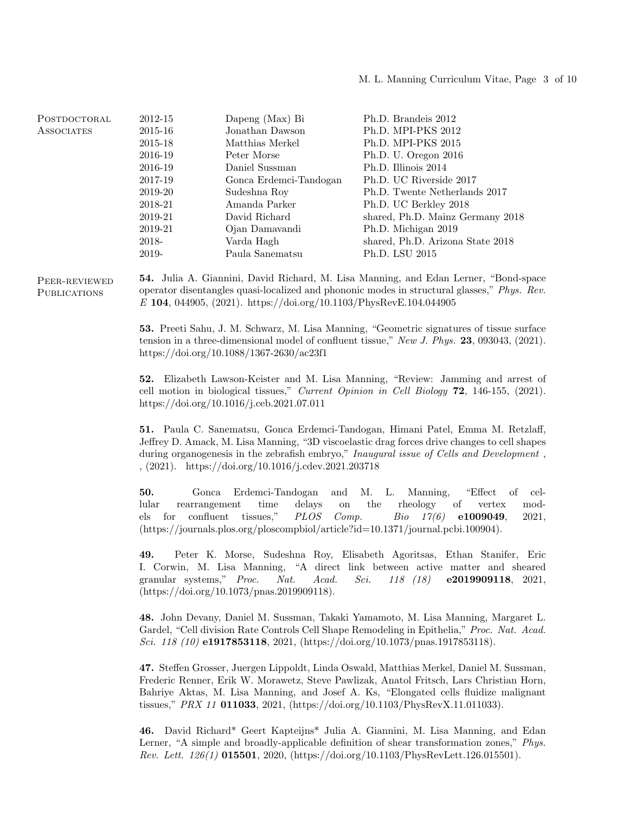| POSTDOCTORAL | 2012-15 | Dapeng (Max) Bi        | Ph.D. Brandeis 2012              |
|--------------|---------|------------------------|----------------------------------|
| ASSOCIATES   | 2015-16 | Jonathan Dawson        | Ph.D. MPI-PKS 2012               |
|              | 2015-18 | Matthias Merkel        | Ph.D. MPI-PKS 2015               |
|              | 2016-19 | Peter Morse            | Ph.D. U. Oregon 2016             |
|              | 2016-19 | Daniel Sussman         | Ph.D. Illinois 2014              |
|              | 2017-19 | Gonca Erdemci-Tandogan | Ph.D. UC Riverside 2017          |
|              | 2019-20 | Sudeshna Roy           | Ph.D. Twente Netherlands 2017    |
|              | 2018-21 | Amanda Parker          | Ph.D. UC Berkley 2018            |
|              | 2019-21 | David Richard          | shared, Ph.D. Mainz Germany 2018 |
|              | 2019-21 | Ojan Damavandi         | Ph.D. Michigan 2019              |
|              | 2018-   | Varda Hagh             | shared, Ph.D. Arizona State 2018 |
|              | 2019-   | Paula Sanematsu        | Ph.D. LSU 2015                   |

Peer-reviewed **PUBLICATIONS** 

54. Julia A. Giannini, David Richard, M. Lisa Manning, and Edan Lerner, "Bond-space operator disentangles quasi-localized and phononic modes in structural glasses," Phys. Rev. E 104, 044905, (2021). https://doi.org/10.1103/PhysRevE.104.044905

53. Preeti Sahu, J. M. Schwarz, M. Lisa Manning, "Geometric signatures of tissue surface tension in a three-dimensional model of confluent tissue," New J. Phys. 23, 093043, (2021). https://doi.org/10.1088/1367-2630/ac23f1

52. Elizabeth Lawson-Keister and M. Lisa Manning, "Review: Jamming and arrest of cell motion in biological tissues," Current Opinion in Cell Biology 72, 146-155, (2021). https://doi.org/10.1016/j.ceb.2021.07.011

51. Paula C. Sanematsu, Gonca Erdemci-Tandogan, Himani Patel, Emma M. Retzlaff, Jeffrey D. Amack, M. Lisa Manning, "3D viscoelastic drag forces drive changes to cell shapes during organogenesis in the zebrafish embryo," Inaugural issue of Cells and Development , , (2021). https://doi.org/10.1016/j.cdev.2021.203718

50. Gonca Erdemci-Tandogan and M. L. Manning, "Effect of cellular rearrangement time delays on the rheology of vertex models for confluent tissues," PLOS Comp. Bio 17(6) e1009049, 2021, (https://journals.plos.org/ploscompbiol/article?id=10.1371/journal.pcbi.100904).

49. Peter K. Morse, Sudeshna Roy, Elisabeth Agoritsas, Ethan Stanifer, Eric I. Corwin, M. Lisa Manning, "A direct link between active matter and sheared granular systems," Proc. Nat. Acad. Sci. 118 (18) e2019909118, 2021, (https://doi.org/10.1073/pnas.2019909118).

48. John Devany, Daniel M. Sussman, Takaki Yamamoto, M. Lisa Manning, Margaret L. Gardel, "Cell division Rate Controls Cell Shape Remodeling in Epithelia," Proc. Nat. Acad. Sci. 118 (10) e1917853118, 2021, (https://doi.org/10.1073/pnas.1917853118).

47. Steffen Grosser, Juergen Lippoldt, Linda Oswald, Matthias Merkel, Daniel M. Sussman, Frederic Renner, Erik W. Morawetz, Steve Pawlizak, Anatol Fritsch, Lars Christian Horn, Bahriye Aktas, M. Lisa Manning, and Josef A. Ks, "Elongated cells fluidize malignant tissues," PRX 11 011033, 2021, (https://doi.org/10.1103/PhysRevX.11.011033).

46. David Richard\* Geert Kapteijns\* Julia A. Giannini, M. Lisa Manning, and Edan Lerner, "A simple and broadly-applicable definition of shear transformation zones," Phys. Rev. Lett. 126(1) 015501, 2020, (https://doi.org/10.1103/PhysRevLett.126.015501).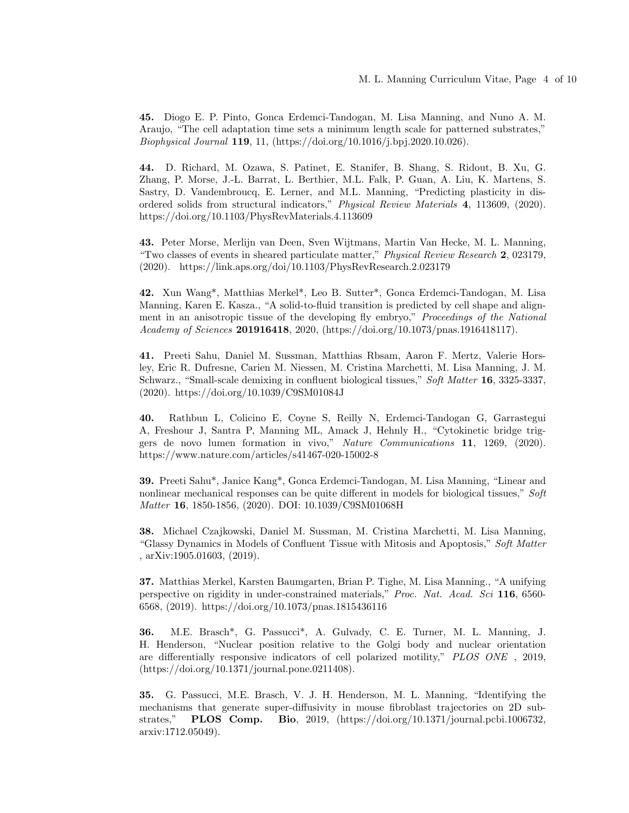45. Diogo E. P. Pinto, Gonca Erdemci-Tandogan, M. Lisa Manning, and Nuno A. M. Araujo, "The cell adaptation time sets a minimum length scale for patterned substrates," Biophysical Journal 119, 11, (https://doi.org/10.1016/j.bpj.2020.10.026).

44. D. Richard, M. Ozawa, S. Patinet, E. Stanifer, B. Shang, S. Ridout, B. Xu, G. Zhang, P. Morse, J.-L. Barrat, L. Berthier, M.L. Falk, P. Guan, A. Liu, K. Martens, S. Sastry, D. Vandembroucq, E. Lerner, and M.L. Manning, "Predicting plasticity in disordered solids from structural indicators," Physical Review Materials 4, 113609, (2020). https://doi.org/10.1103/PhysRevMaterials.4.113609

43. Peter Morse, Merlijn van Deen, Sven Wijtmans, Martin Van Hecke, M. L. Manning, "Two classes of events in sheared particulate matter," Physical Review Research 2, 023179, (2020). https://link.aps.org/doi/10.1103/PhysRevResearch.2.023179

42. Xun Wang\*, Matthias Merkel\*, Leo B. Sutter\*, Gonca Erdemci-Tandogan, M. Lisa Manning, Karen E. Kasza., "A solid-to-fluid transition is predicted by cell shape and alignment in an anisotropic tissue of the developing fly embryo," Proceedings of the National Academy of Sciences 201916418, 2020, (https://doi.org/10.1073/pnas.1916418117).

41. Preeti Sahu, Daniel M. Sussman, Matthias Rbsam, Aaron F. Mertz, Valerie Horsley, Eric R. Dufresne, Carien M. Niessen, M. Cristina Marchetti, M. Lisa Manning, J. M. Schwarz., "Small-scale demixing in confluent biological tissues," Soft Matter 16, 3325-3337, (2020). https://doi.org/10.1039/C9SM01084J

40. Rathbun L, Colicino E, Coyne S, Reilly N, Erdemci-Tandogan G, Garrastegui A, Freshour J, Santra P, Manning ML, Amack J, Hehnly H., "Cytokinetic bridge triggers de novo lumen formation in vivo," Nature Communications 11, 1269, (2020). https://www.nature.com/articles/s41467-020-15002-8

39. Preeti Sahu\*, Janice Kang\*, Gonca Erdemci-Tandogan, M. Lisa Manning, "Linear and nonlinear mechanical responses can be quite different in models for biological tissues," Soft Matter 16, 1850-1856, (2020). DOI: 10.1039/C9SM01068H

38. Michael Czajkowski, Daniel M. Sussman, M. Cristina Marchetti, M. Lisa Manning, "Glassy Dynamics in Models of Confluent Tissue with Mitosis and Apoptosis," Soft Matter , arXiv:1905.01603, (2019).

37. Matthias Merkel, Karsten Baumgarten, Brian P. Tighe, M. Lisa Manning., "A unifying perspective on rigidity in under-constrained materials," Proc. Nat. Acad. Sci 116, 6560- 6568, (2019). https://doi.org/10.1073/pnas.1815436116

36. M.E. Brasch\*, G. Passucci\*, A. Gulvady, C. E. Turner, M. L. Manning, J. H. Henderson, "Nuclear position relative to the Golgi body and nuclear orientation are differentially responsive indicators of cell polarized motility," PLOS ONE , 2019, (https://doi.org/10.1371/journal.pone.0211408).

35. G. Passucci, M.E. Brasch, V. J. H. Henderson, M. L. Manning, "Identifying the mechanisms that generate super-diffusivity in mouse fibroblast trajectories on 2D substrates," PLOS Comp. Bio, 2019, (https://doi.org/10.1371/journal.pcbi.1006732, arxiv:1712.05049).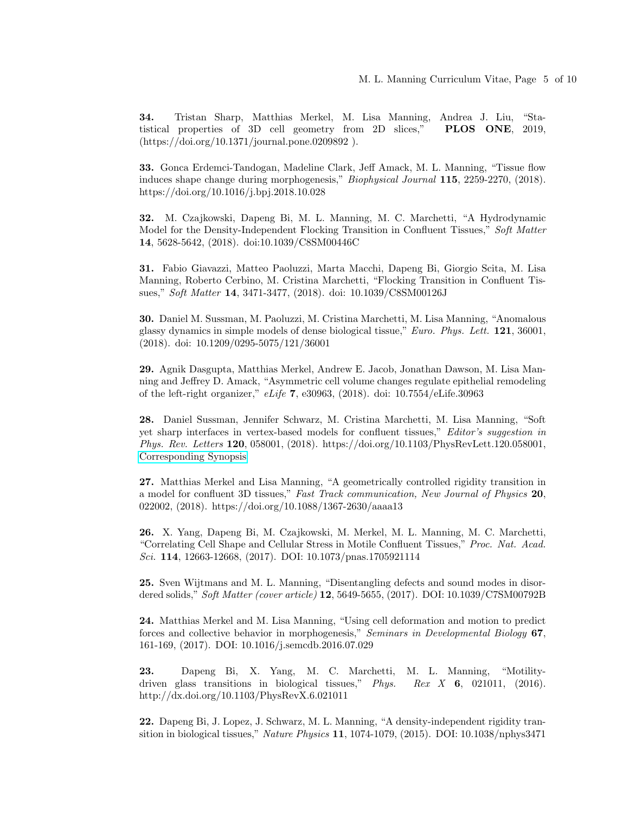34. Tristan Sharp, Matthias Merkel, M. Lisa Manning, Andrea J. Liu, "Statistical properties of 3D cell geometry from 2D slices," PLOS ONE, 2019, (https://doi.org/10.1371/journal.pone.0209892 ).

33. Gonca Erdemci-Tandogan, Madeline Clark, Jeff Amack, M. L. Manning, "Tissue flow induces shape change during morphogenesis," Biophysical Journal 115, 2259-2270, (2018). https://doi.org/10.1016/j.bpj.2018.10.028

32. M. Czajkowski, Dapeng Bi, M. L. Manning, M. C. Marchetti, "A Hydrodynamic Model for the Density-Independent Flocking Transition in Confluent Tissues," Soft Matter 14, 5628-5642, (2018). doi:10.1039/C8SM00446C

31. Fabio Giavazzi, Matteo Paoluzzi, Marta Macchi, Dapeng Bi, Giorgio Scita, M. Lisa Manning, Roberto Cerbino, M. Cristina Marchetti, "Flocking Transition in Confluent Tissues," Soft Matter 14, 3471-3477, (2018). doi: 10.1039/C8SM00126J

30. Daniel M. Sussman, M. Paoluzzi, M. Cristina Marchetti, M. Lisa Manning, "Anomalous glassy dynamics in simple models of dense biological tissue," Euro. Phys. Lett. 121, 36001, (2018). doi: 10.1209/0295-5075/121/36001

29. Agnik Dasgupta, Matthias Merkel, Andrew E. Jacob, Jonathan Dawson, M. Lisa Manning and Jeffrey D. Amack, "Asymmetric cell volume changes regulate epithelial remodeling of the left-right organizer," eLife 7, e30963, (2018). doi: 10.7554/eLife.30963

28. Daniel Sussman, Jennifer Schwarz, M. Cristina Marchetti, M. Lisa Manning, "Soft yet sharp interfaces in vertex-based models for confluent tissues," Editor's suggestion in Phys. Rev. Letters 120, 058001, (2018). https://doi.org/10.1103/PhysRevLett.120.058001, [Corresponding Synopsis](https://physics.aps.org/synopsis-for/10.1103/PhysRevLett.120.058001)

27. Matthias Merkel and Lisa Manning, "A geometrically controlled rigidity transition in a model for confluent 3D tissues," Fast Track communication, New Journal of Physics 20, 022002, (2018). https://doi.org/10.1088/1367-2630/aaaa13

26. X. Yang, Dapeng Bi, M. Czajkowski, M. Merkel, M. L. Manning, M. C. Marchetti, "Correlating Cell Shape and Cellular Stress in Motile Confluent Tissues," Proc. Nat. Acad. Sci. 114, 12663-12668, (2017). DOI: 10.1073/pnas.1705921114

25. Sven Wijtmans and M. L. Manning, "Disentangling defects and sound modes in disordered solids," Soft Matter (cover article) 12, 5649-5655, (2017). DOI: 10.1039/C7SM00792B

24. Matthias Merkel and M. Lisa Manning, "Using cell deformation and motion to predict forces and collective behavior in morphogenesis," Seminars in Developmental Biology 67, 161-169, (2017). DOI: 10.1016/j.semcdb.2016.07.029

23. Dapeng Bi, X. Yang, M. C. Marchetti, M. L. Manning, "Motilitydriven glass transitions in biological tissues," Phys. Rex X 6, 021011, (2016). http://dx.doi.org/10.1103/PhysRevX.6.021011

22. Dapeng Bi, J. Lopez, J. Schwarz, M. L. Manning, "A density-independent rigidity transition in biological tissues," Nature Physics 11, 1074-1079, (2015). DOI: 10.1038/nphys3471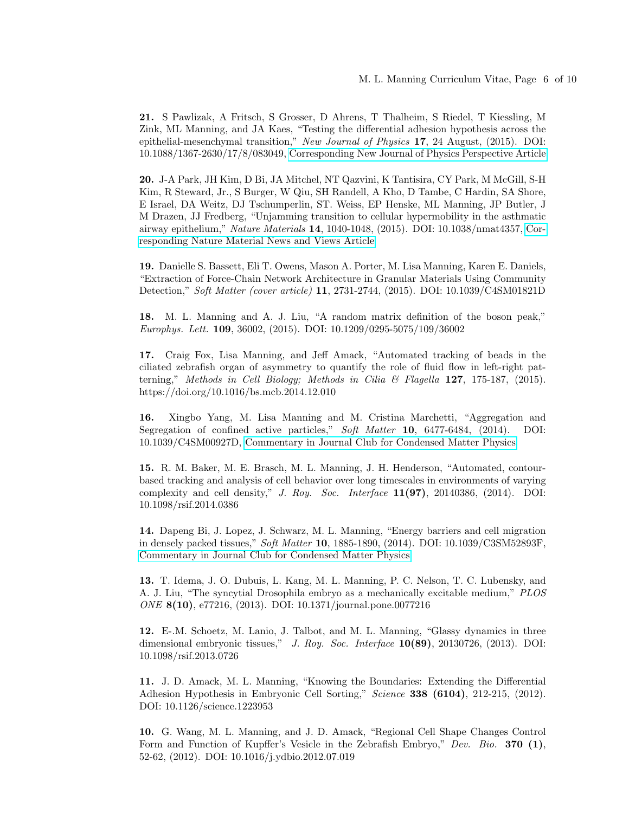21. S Pawlizak, A Fritsch, S Grosser, D Ahrens, T Thalheim, S Riedel, T Kiessling, M Zink, ML Manning, and JA Kaes, "Testing the differential adhesion hypothesis across the epithelial-mesenchymal transition," New Journal of Physics 17, 24 August, (2015). DOI: 10.1088/1367-2630/17/8/083049, [Corresponding New Journal of Physics Perspective Article](http://iopscience.iop.org/article/10.1088/1367-2630/17/9/091001)

20. J-A Park, JH Kim, D Bi, JA Mitchel, NT Qazvini, K Tantisira, CY Park, M McGill, S-H Kim, R Steward, Jr., S Burger, W Qiu, SH Randell, A Kho, D Tambe, C Hardin, SA Shore, E Israel, DA Weitz, DJ Tschumperlin, ST. Weiss, EP Henske, ML Manning, JP Butler, J M Drazen, JJ Fredberg, "Unjamming transition to cellular hypermobility in the asthmatic airway epithelium," Nature Materials 14, 1040-1048, (2015). DOI: 10.1038/nmat4357, [Cor](http://www.nature.com/nmat/journal/v14/n10/full/nmat4434.html)[responding Nature Material News and Views Article](http://www.nature.com/nmat/journal/v14/n10/full/nmat4434.html)

19. Danielle S. Bassett, Eli T. Owens, Mason A. Porter, M. Lisa Manning, Karen E. Daniels, "Extraction of Force-Chain Network Architecture in Granular Materials Using Community Detection," Soft Matter (cover article) 11, 2731-2744, (2015). DOI: 10.1039/C4SM01821D

18. M. L. Manning and A. J. Liu, "A random matrix definition of the boson peak," Europhys. Lett. 109, 36002, (2015). DOI: 10.1209/0295-5075/109/36002

17. Craig Fox, Lisa Manning, and Jeff Amack, "Automated tracking of beads in the ciliated zebrafish organ of asymmetry to quantify the role of fluid flow in left-right patterning," Methods in Cell Biology; Methods in Cilia & Flagella 127, 175-187, (2015). https://doi.org/10.1016/bs.mcb.2014.12.010

16. Xingbo Yang, M. Lisa Manning and M. Cristina Marchetti, "Aggregation and Segregation of confined active particles," Soft Matter 10, 6477-6484, (2014). DOI: 10.1039/C4SM00927D, [Commentary in Journal Club for Condensed Matter Physics](http://www.condmatjournalclub.org/jccm-content/uploads/2014/07/JCCM_JULY_2014_02.pdf)

15. R. M. Baker, M. E. Brasch, M. L. Manning, J. H. Henderson, "Automated, contourbased tracking and analysis of cell behavior over long timescales in environments of varying complexity and cell density," J. Roy. Soc. Interface  $11(97)$ , 20140386, (2014). DOI: 10.1098/rsif.2014.0386

14. Dapeng Bi, J. Lopez, J. Schwarz, M. L. Manning, "Energy barriers and cell migration in densely packed tissues," Soft Matter 10, 1885-1890, (2014). DOI: 10.1039/C3SM52893F, [Commentary in Journal Club for Condensed Matter Physics](http://www.condmatjournalclub.org/jccm-content/uploads/2014/03/JCCM_FEB_2014_01.pdf)

13. T. Idema, J. O. Dubuis, L. Kang, M. L. Manning, P. C. Nelson, T. C. Lubensky, and A. J. Liu, "The syncytial Drosophila embryo as a mechanically excitable medium," PLOS ONE 8(10), e77216, (2013). DOI: 10.1371/journal.pone.0077216

12. E-.M. Schoetz, M. Lanio, J. Talbot, and M. L. Manning, "Glassy dynamics in three dimensional embryonic tissues," J. Roy. Soc. Interface 10(89), 20130726, (2013). DOI: 10.1098/rsif.2013.0726

11. J. D. Amack, M. L. Manning, "Knowing the Boundaries: Extending the Differential Adhesion Hypothesis in Embryonic Cell Sorting," Science 338 (6104), 212-215, (2012). DOI: 10.1126/science.1223953

10. G. Wang, M. L. Manning, and J. D. Amack, "Regional Cell Shape Changes Control Form and Function of Kupffer's Vesicle in the Zebrafish Embryo," Dev. Bio. 370 (1), 52-62, (2012). DOI: 10.1016/j.ydbio.2012.07.019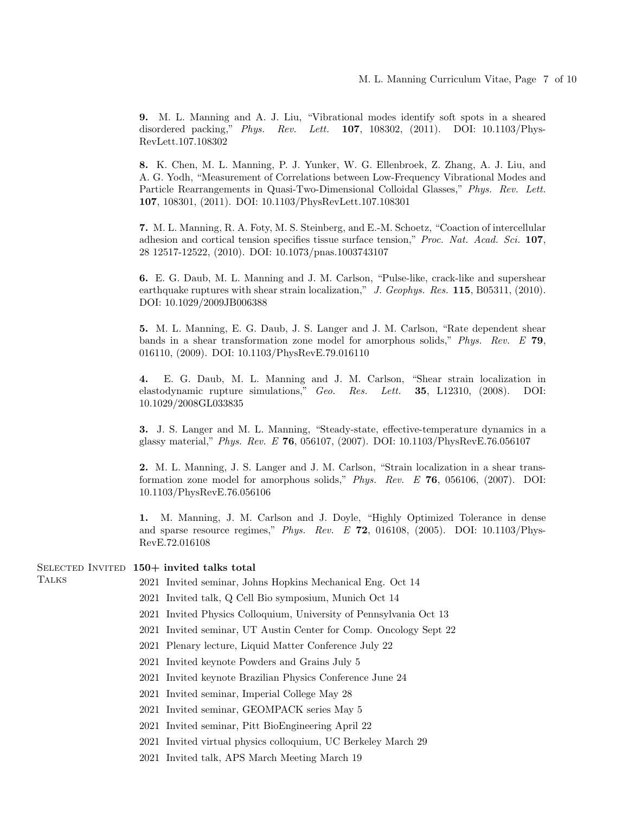9. M. L. Manning and A. J. Liu, "Vibrational modes identify soft spots in a sheared disordered packing," Phys. Rev. Lett. 107, 108302, (2011). DOI: 10.1103/Phys-RevLett.107.108302

8. K. Chen, M. L. Manning, P. J. Yunker, W. G. Ellenbroek, Z. Zhang, A. J. Liu, and A. G. Yodh, "Measurement of Correlations between Low-Frequency Vibrational Modes and Particle Rearrangements in Quasi-Two-Dimensional Colloidal Glasses," Phys. Rev. Lett. 107, 108301, (2011). DOI: 10.1103/PhysRevLett.107.108301

7. M. L. Manning, R. A. Foty, M. S. Steinberg, and E.-M. Schoetz, "Coaction of intercellular adhesion and cortical tension specifies tissue surface tension," Proc. Nat. Acad. Sci. 107, 28 12517-12522, (2010). DOI: 10.1073/pnas.1003743107

6. E. G. Daub, M. L. Manning and J. M. Carlson, "Pulse-like, crack-like and supershear earthquake ruptures with shear strain localization," J. Geophys. Res. 115, B05311, (2010). DOI: 10.1029/2009JB006388

5. M. L. Manning, E. G. Daub, J. S. Langer and J. M. Carlson, "Rate dependent shear bands in a shear transformation zone model for amorphous solids," Phys. Rev. E 79, 016110, (2009). DOI: 10.1103/PhysRevE.79.016110

4. E. G. Daub, M. L. Manning and J. M. Carlson, "Shear strain localization in elastodynamic rupture simulations," Geo. Res. Lett. 35, L12310, (2008). DOI: 10.1029/2008GL033835

3. J. S. Langer and M. L. Manning, "Steady-state, effective-temperature dynamics in a glassy material," Phys. Rev. E 76, 056107, (2007). DOI: 10.1103/PhysRevE.76.056107

2. M. L. Manning, J. S. Langer and J. M. Carlson, "Strain localization in a shear transformation zone model for amorphous solids," Phys. Rev. E 76, 056106, (2007). DOI: 10.1103/PhysRevE.76.056106

1. M. Manning, J. M. Carlson and J. Doyle, "Highly Optimized Tolerance in dense and sparse resource regimes," Phys. Rev. E  $72$ , 016108, (2005). DOI: 10.1103/Phys-RevE.72.016108

#### SELECTED INVITED 150+ invited talks total

**TALKS** 

- 2021 Invited seminar, Johns Hopkins Mechanical Eng. Oct 14
- 2021 Invited talk, Q Cell Bio symposium, Munich Oct 14
- 2021 Invited Physics Colloquium, University of Pennsylvania Oct 13
- 2021 Invited seminar, UT Austin Center for Comp. Oncology Sept 22
- 2021 Plenary lecture, Liquid Matter Conference July 22
- 2021 Invited keynote Powders and Grains July 5
- 2021 Invited keynote Brazilian Physics Conference June 24
- 2021 Invited seminar, Imperial College May 28
- 2021 Invited seminar, GEOMPACK series May 5
- 2021 Invited seminar, Pitt BioEngineering April 22
- 2021 Invited virtual physics colloquium, UC Berkeley March 29
- 2021 Invited talk, APS March Meeting March 19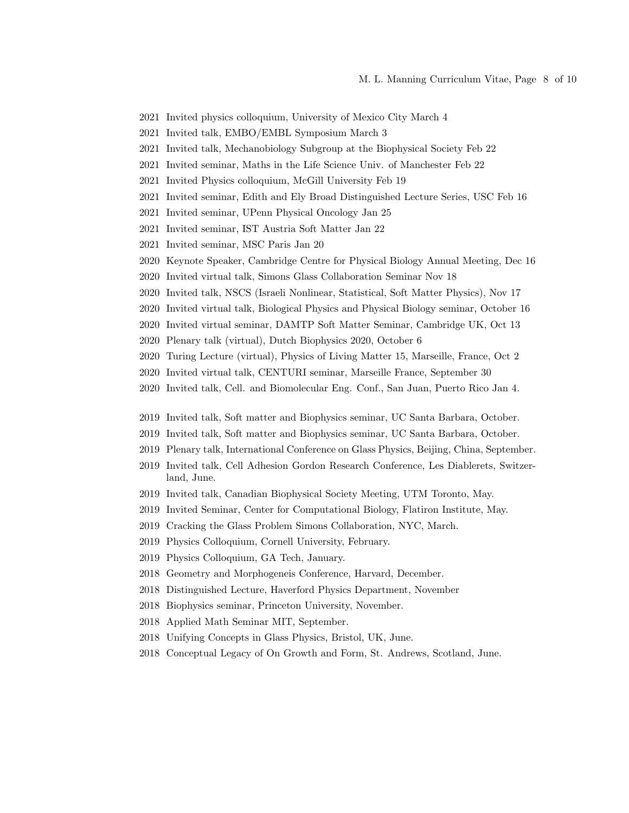- 2021 Invited physics colloquium, University of Mexico City March 4
- 2021 Invited talk, EMBO/EMBL Symposium March 3
- 2021 Invited talk, Mechanobiology Subgroup at the Biophysical Society Feb 22
- 2021 Invited seminar, Maths in the Life Science Univ. of Manchester Feb 22
- 2021 Invited Physics colloquium, McGill University Feb 19
- 2021 Invited seminar, Edith and Ely Broad Distinguished Lecture Series, USC Feb 16
- 2021 Invited seminar, UPenn Physical Oncology Jan 25
- 2021 Invited seminar, IST Austria Soft Matter Jan 22
- 2021 Invited seminar, MSC Paris Jan 20
- 2020 Keynote Speaker, Cambridge Centre for Physical Biology Annual Meeting, Dec 16
- 2020 Invited virtual talk, Simons Glass Collaboration Seminar Nov 18
- 2020 Invited talk, NSCS (Israeli Nonlinear, Statistical, Soft Matter Physics), Nov 17
- 2020 Invited virtual talk, Biological Physics and Physical Biology seminar, October 16
- 2020 Invited virtual seminar, DAMTP Soft Matter Seminar, Cambridge UK, Oct 13
- 2020 Plenary talk (virtual), Dutch Biophysics 2020, October 6
- 2020 Turing Lecture (virtual), Physics of Living Matter 15, Marseille, France, Oct 2
- 2020 Invited virtual talk, CENTURI seminar, Marseille France, September 30
- 2020 Invited talk, Cell. and Biomolecular Eng. Conf., San Juan, Puerto Rico Jan 4.
- 2019 Invited talk, Soft matter and Biophysics seminar, UC Santa Barbara, October.
- 2019 Invited talk, Soft matter and Biophysics seminar, UC Santa Barbara, October.
- 2019 Plenary talk, International Conference on Glass Physics, Beijing, China, September.
- 2019 Invited talk, Cell Adhesion Gordon Research Conference, Les Diablerets, Switzerland, June.
- 2019 Invited talk, Canadian Biophysical Society Meeting, UTM Toronto, May.
- 2019 Invited Seminar, Center for Computational Biology, Flatiron Institute, May.
- 2019 Cracking the Glass Problem Simons Collaboration, NYC, March.
- 2019 Physics Colloquium, Cornell University, February.
- 2019 Physics Colloquium, GA Tech, January.
- 2018 Geometry and Morphogeneis Conference, Harvard, December.
- 2018 Distinguished Lecture, Haverford Physics Department, November
- 2018 Biophysics seminar, Princeton University, November.
- 2018 Applied Math Seminar MIT, September.
- 2018 Unifying Concepts in Glass Physics, Bristol, UK, June.
- 2018 Conceptual Legacy of On Growth and Form, St. Andrews, Scotland, June.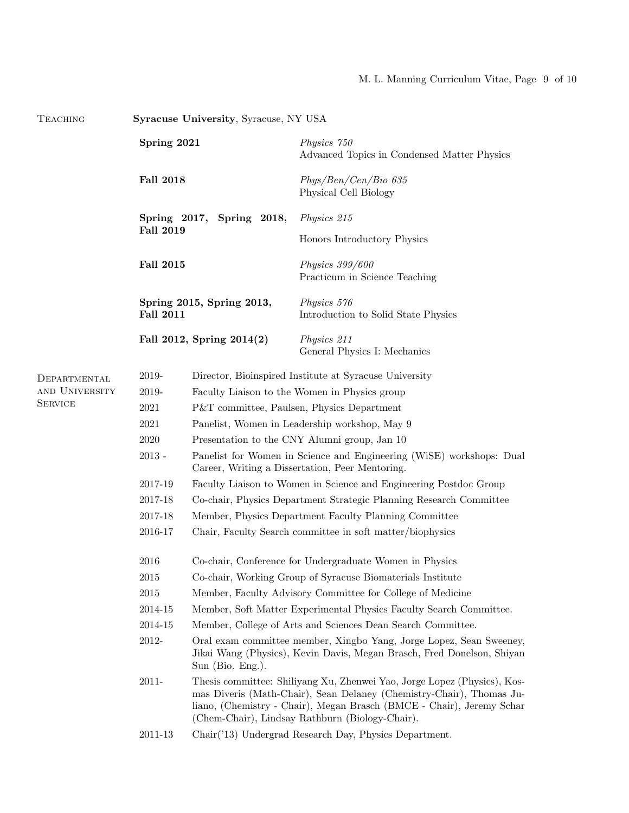### M. L. Manning Curriculum Vitae, Page 9 of 10

| TEACHING       | <b>Syracuse University, Syracuse, NY USA</b>  |                                                                                                                                                                                                                                                                              |                                                            |  |
|----------------|-----------------------------------------------|------------------------------------------------------------------------------------------------------------------------------------------------------------------------------------------------------------------------------------------------------------------------------|------------------------------------------------------------|--|
|                | Spring 2021                                   |                                                                                                                                                                                                                                                                              | Physics 750<br>Advanced Topics in Condensed Matter Physics |  |
|                | <b>Fall 2018</b>                              |                                                                                                                                                                                                                                                                              | Phys/Ben/Cen/Bio 635<br>Physical Cell Biology              |  |
|                | Spring 2017, Spring 2018,<br><b>Fall 2019</b> |                                                                                                                                                                                                                                                                              | Physics 215                                                |  |
|                |                                               |                                                                                                                                                                                                                                                                              | Honors Introductory Physics                                |  |
|                | <b>Fall 2015</b>                              |                                                                                                                                                                                                                                                                              | <i>Physics 399/600</i><br>Practicum in Science Teaching    |  |
|                | Spring 2015, Spring 2013,<br><b>Fall 2011</b> |                                                                                                                                                                                                                                                                              | Physics 576<br>Introduction to Solid State Physics         |  |
|                |                                               | Fall 2012, Spring 2014(2)                                                                                                                                                                                                                                                    | Physics 211<br>General Physics I: Mechanics                |  |
| DEPARTMENTAL   | 2019-                                         | Director, Bioinspired Institute at Syracuse University                                                                                                                                                                                                                       |                                                            |  |
| AND UNIVERSITY | 2019-                                         | Faculty Liaison to the Women in Physics group                                                                                                                                                                                                                                |                                                            |  |
| <b>SERVICE</b> | 2021                                          | P&T committee, Paulsen, Physics Department                                                                                                                                                                                                                                   |                                                            |  |
|                | 2021                                          | Panelist, Women in Leadership workshop, May 9                                                                                                                                                                                                                                |                                                            |  |
|                | 2020                                          | Presentation to the CNY Alumni group, Jan 10                                                                                                                                                                                                                                 |                                                            |  |
|                | $2013 -$                                      | Panelist for Women in Science and Engineering (WiSE) workshops: Dual<br>Career, Writing a Dissertation, Peer Mentoring.                                                                                                                                                      |                                                            |  |
|                | 2017-19                                       | Faculty Liaison to Women in Science and Engineering Postdoc Group                                                                                                                                                                                                            |                                                            |  |
|                | 2017-18                                       | Co-chair, Physics Department Strategic Planning Research Committee                                                                                                                                                                                                           |                                                            |  |
|                | 2017-18                                       | Member, Physics Department Faculty Planning Committee                                                                                                                                                                                                                        |                                                            |  |
|                | 2016-17                                       | Chair, Faculty Search committee in soft matter/biophysics                                                                                                                                                                                                                    |                                                            |  |
|                | 2016                                          | Co-chair, Conference for Undergraduate Women in Physics                                                                                                                                                                                                                      |                                                            |  |
|                | $\,2015$                                      | Co-chair, Working Group of Syracuse Biomaterials Institute                                                                                                                                                                                                                   |                                                            |  |
|                | 2015                                          | Member, Faculty Advisory Committee for College of Medicine                                                                                                                                                                                                                   |                                                            |  |
|                | 2014-15                                       | Member, Soft Matter Experimental Physics Faculty Search Committee.                                                                                                                                                                                                           |                                                            |  |
|                | 2014-15                                       | Member, College of Arts and Sciences Dean Search Committee.                                                                                                                                                                                                                  |                                                            |  |
|                | 2012-                                         | Oral exam committee member, Xingbo Yang, Jorge Lopez, Sean Sweeney,<br>Jikai Wang (Physics), Kevin Davis, Megan Brasch, Fred Donelson, Shiyan<br>Sun (Bio. Eng.).                                                                                                            |                                                            |  |
|                | 2011-                                         | Thesis committee: Shiliyang Xu, Zhenwei Yao, Jorge Lopez (Physics), Kos-<br>mas Diveris (Math-Chair), Sean Delaney (Chemistry-Chair), Thomas Ju-<br>liano, (Chemistry - Chair), Megan Brasch (BMCE - Chair), Jeremy Schar<br>(Chem-Chair), Lindsay Rathburn (Biology-Chair). |                                                            |  |
|                | 2011-13                                       | Chair('13) Undergrad Research Day, Physics Department.                                                                                                                                                                                                                       |                                                            |  |